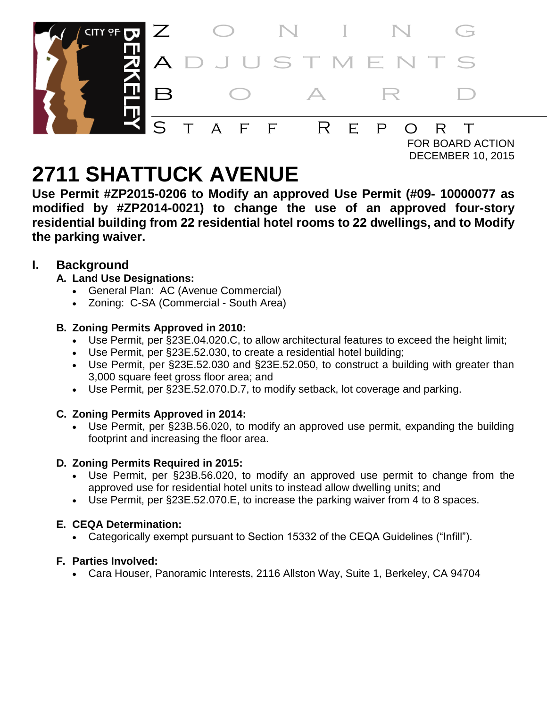

DECEMBER 10, 2015

# **2711 SHATTUCK AVENUE**

**Use Permit #ZP2015-0206 to Modify an approved Use Permit (#09- 10000077 as modified by #ZP2014-0021) to change the use of an approved four-story residential building from 22 residential hotel rooms to 22 dwellings, and to Modify the parking waiver.**

# **I. Background**

- **A. Land Use Designations:**
	- General Plan: AC (Avenue Commercial)
	- Zoning: C-SA (Commercial South Area)

# **B. Zoning Permits Approved in 2010:**

- Use Permit, per §23E.04.020.C, to allow architectural features to exceed the height limit;
- Use Permit, per §23E.52.030, to create a residential hotel building;
- Use Permit, per §23E.52.030 and §23E.52.050, to construct a building with greater than 3,000 square feet gross floor area; and
- Use Permit, per §23E.52.070.D.7, to modify setback, lot coverage and parking.

# **C. Zoning Permits Approved in 2014:**

 Use Permit, per §23B.56.020, to modify an approved use permit, expanding the building footprint and increasing the floor area.

# **D. Zoning Permits Required in 2015:**

- Use Permit, per §23B.56.020, to modify an approved use permit to change from the approved use for residential hotel units to instead allow dwelling units; and
- Use Permit, per §23E.52.070.E, to increase the parking waiver from 4 to 8 spaces.

# **E. CEQA Determination:**

Categorically exempt pursuant to Section 15332 of the CEQA Guidelines ("Infill").

# **F. Parties Involved:**

Cara Houser, Panoramic Interests, 2116 Allston Way, Suite 1, Berkeley, CA 94704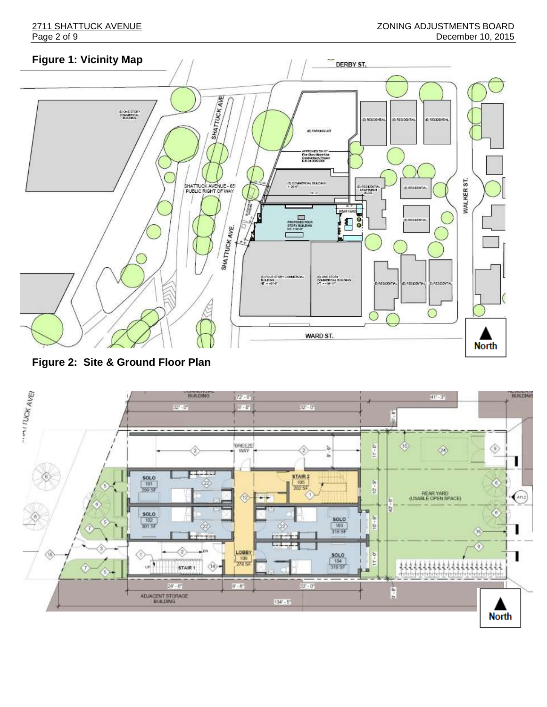

**Figure 2: Site & Ground Floor Plan**

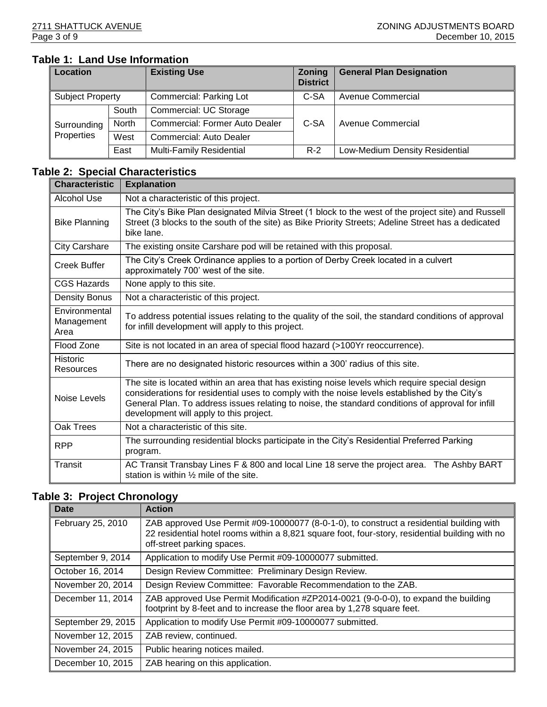# **Table 1: Land Use Information**

| Location         |       | <b>Existing Use</b>            | <b>Zoning</b><br><b>District</b> | <b>General Plan Designation</b> |  |
|------------------|-------|--------------------------------|----------------------------------|---------------------------------|--|
| Subject Property |       | Commercial: Parking Lot        | C-SA                             | Avenue Commercial               |  |
|                  | South | Commercial: UC Storage         |                                  |                                 |  |
| Surrounding      | North | Commercial: Former Auto Dealer | C-SA                             | <b>Avenue Commercial</b>        |  |
| Properties       | West  | Commercial: Auto Dealer        |                                  |                                 |  |
|                  | East  | Multi-Family Residential       | $R-2$                            | Low-Medium Density Residential  |  |

### **Table 2: Special Characteristics**

| <b>Characteristic</b>               | <b>Explanation</b>                                                                                                                                                                                                                                                                                                                              |  |  |
|-------------------------------------|-------------------------------------------------------------------------------------------------------------------------------------------------------------------------------------------------------------------------------------------------------------------------------------------------------------------------------------------------|--|--|
| Alcohol Use                         | Not a characteristic of this project.                                                                                                                                                                                                                                                                                                           |  |  |
| <b>Bike Planning</b>                | The City's Bike Plan designated Milvia Street (1 block to the west of the project site) and Russell<br>Street (3 blocks to the south of the site) as Bike Priority Streets; Adeline Street has a dedicated<br>bike lane.                                                                                                                        |  |  |
| <b>City Carshare</b>                | The existing onsite Carshare pod will be retained with this proposal.                                                                                                                                                                                                                                                                           |  |  |
| Creek Buffer                        | The City's Creek Ordinance applies to a portion of Derby Creek located in a culvert<br>approximately 700' west of the site.                                                                                                                                                                                                                     |  |  |
| <b>CGS Hazards</b>                  | None apply to this site.                                                                                                                                                                                                                                                                                                                        |  |  |
| <b>Density Bonus</b>                | Not a characteristic of this project.                                                                                                                                                                                                                                                                                                           |  |  |
| Environmental<br>Management<br>Area | To address potential issues relating to the quality of the soil, the standard conditions of approval<br>for infill development will apply to this project.                                                                                                                                                                                      |  |  |
| Flood Zone                          | Site is not located in an area of special flood hazard (>100Yr reoccurrence).                                                                                                                                                                                                                                                                   |  |  |
| <b>Historic</b><br><b>Resources</b> | There are no designated historic resources within a 300' radius of this site.                                                                                                                                                                                                                                                                   |  |  |
| Noise Levels                        | The site is located within an area that has existing noise levels which require special design<br>considerations for residential uses to comply with the noise levels established by the City's<br>General Plan. To address issues relating to noise, the standard conditions of approval for infill<br>development will apply to this project. |  |  |
| Oak Trees                           | Not a characteristic of this site.                                                                                                                                                                                                                                                                                                              |  |  |
| <b>RPP</b>                          | The surrounding residential blocks participate in the City's Residential Preferred Parking<br>program.                                                                                                                                                                                                                                          |  |  |
| Transit                             | AC Transit Transbay Lines F & 800 and local Line 18 serve the project area. The Ashby BART<br>station is within $\frac{1}{2}$ mile of the site.                                                                                                                                                                                                 |  |  |

# **Table 3: Project Chronology**

| <b>Date</b>        | <b>Action</b>                                                                                                                                                                                                             |  |  |
|--------------------|---------------------------------------------------------------------------------------------------------------------------------------------------------------------------------------------------------------------------|--|--|
| February 25, 2010  | ZAB approved Use Permit #09-10000077 (8-0-1-0), to construct a residential building with<br>22 residential hotel rooms within a 8,821 square foot, four-story, residential building with no<br>off-street parking spaces. |  |  |
| September 9, 2014  | Application to modify Use Permit #09-10000077 submitted.                                                                                                                                                                  |  |  |
| October 16, 2014   | Design Review Committee: Preliminary Design Review.                                                                                                                                                                       |  |  |
| November 20, 2014  | Design Review Committee: Favorable Recommendation to the ZAB.                                                                                                                                                             |  |  |
| December 11, 2014  | ZAB approved Use Permit Modification #ZP2014-0021 (9-0-0-0), to expand the building<br>footprint by 8-feet and to increase the floor area by 1,278 square feet.                                                           |  |  |
| September 29, 2015 | Application to modify Use Permit #09-10000077 submitted.                                                                                                                                                                  |  |  |
| November 12, 2015  | ZAB review, continued.                                                                                                                                                                                                    |  |  |
| November 24, 2015  | Public hearing notices mailed.                                                                                                                                                                                            |  |  |
| December 10, 2015  | ZAB hearing on this application.                                                                                                                                                                                          |  |  |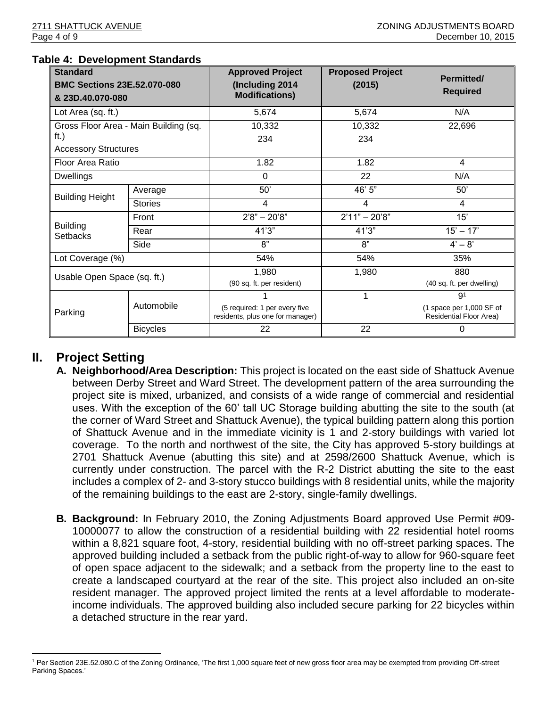| <b>Standard</b><br><b>BMC Sections 23E.52.070-080</b><br>& 23D.40.070-080 |                 | <b>Approved Project</b><br>(Including 2014<br><b>Modifications)</b> | <b>Proposed Project</b><br>(2015) | Permitted/<br><b>Required</b>                       |
|---------------------------------------------------------------------------|-----------------|---------------------------------------------------------------------|-----------------------------------|-----------------------------------------------------|
| Lot Area (sq. ft.)                                                        |                 | 5,674                                                               | 5,674                             | N/A                                                 |
| Gross Floor Area - Main Building (sq.<br>ft.)                             |                 | 10,332<br>234                                                       | 10,332<br>234                     | 22,696                                              |
| <b>Accessory Structures</b>                                               |                 |                                                                     |                                   |                                                     |
| Floor Area Ratio                                                          |                 | 1.82                                                                | 1.82                              | 4                                                   |
| <b>Dwellings</b>                                                          |                 | $\Omega$                                                            | 22                                | N/A                                                 |
| <b>Building Height</b>                                                    | Average         | 50'                                                                 | 46' 5"                            | 50'                                                 |
|                                                                           | <b>Stories</b>  | 4                                                                   | 4                                 | 4                                                   |
|                                                                           | Front           | $2'8" - 20'8"$                                                      | $2'11" - 20'8"$                   | 15'                                                 |
| <b>Building</b><br><b>Setbacks</b>                                        | Rear            | 41'3"                                                               | 41'3"                             | $15' - 17'$                                         |
|                                                                           | Side            | 8"                                                                  | 8"                                | $4' - 8'$                                           |
| Lot Coverage (%)                                                          |                 | 54%                                                                 | 54%                               | 35%                                                 |
| Usable Open Space (sq. ft.)                                               |                 | 1,980                                                               | 1,980                             | 880                                                 |
|                                                                           |                 | (90 sq. ft. per resident)                                           |                                   | (40 sq. ft. per dwelling)                           |
|                                                                           |                 |                                                                     |                                   | 9 <sup>1</sup>                                      |
| Parking                                                                   | Automobile      | (5 required: 1 per every five<br>residents, plus one for manager)   |                                   | (1 space per 1,000 SF of<br>Residential Floor Area) |
|                                                                           | <b>Bicycles</b> | 22                                                                  | 22                                | 0                                                   |

#### **Table 4: Development Standards**

# **II. Project Setting**

- **A. Neighborhood/Area Description:** This project is located on the east side of Shattuck Avenue between Derby Street and Ward Street. The development pattern of the area surrounding the project site is mixed, urbanized, and consists of a wide range of commercial and residential uses. With the exception of the 60' tall UC Storage building abutting the site to the south (at the corner of Ward Street and Shattuck Avenue), the typical building pattern along this portion of Shattuck Avenue and in the immediate vicinity is 1 and 2-story buildings with varied lot coverage. To the north and northwest of the site, the City has approved 5-story buildings at 2701 Shattuck Avenue (abutting this site) and at 2598/2600 Shattuck Avenue, which is currently under construction. The parcel with the R-2 District abutting the site to the east includes a complex of 2- and 3-story stucco buildings with 8 residential units, while the majority of the remaining buildings to the east are 2-story, single-family dwellings.
- **B. Background:** In February 2010, the Zoning Adjustments Board approved Use Permit #09- 10000077 to allow the construction of a residential building with 22 residential hotel rooms within a 8,821 square foot, 4-story, residential building with no off-street parking spaces. The approved building included a setback from the public right-of-way to allow for 960-square feet of open space adjacent to the sidewalk; and a setback from the property line to the east to create a landscaped courtyard at the rear of the site. This project also included an on-site resident manager. The approved project limited the rents at a level affordable to moderateincome individuals. The approved building also included secure parking for 22 bicycles within a detached structure in the rear yard.

l <sup>1</sup> Per Section 23E.52.080.C of the Zoning Ordinance, 'The first 1,000 square feet of new gross floor area may be exempted from providing Off-street Parking Spaces.'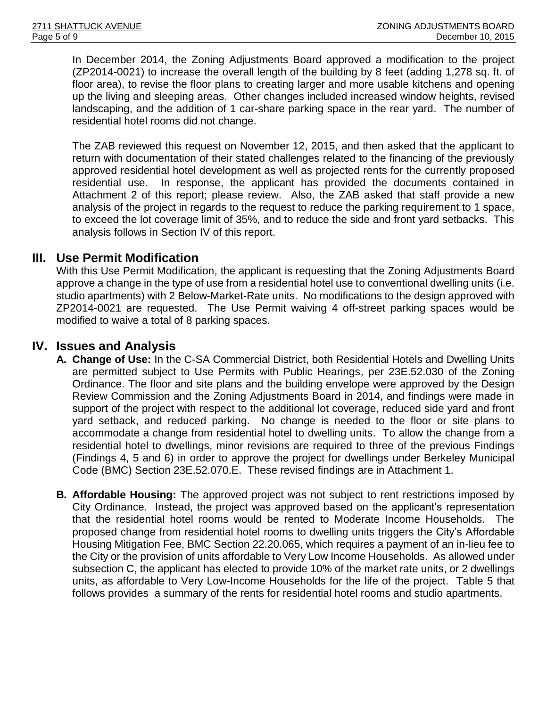In December 2014, the Zoning Adjustments Board approved a modification to the project (ZP2014-0021) to increase the overall length of the building by 8 feet (adding 1,278 sq. ft. of floor area), to revise the floor plans to creating larger and more usable kitchens and opening up the living and sleeping areas. Other changes included increased window heights, revised landscaping, and the addition of 1 car-share parking space in the rear yard. The number of residential hotel rooms did not change.

The ZAB reviewed this request on November 12, 2015, and then asked that the applicant to return with documentation of their stated challenges related to the financing of the previously approved residential hotel development as well as projected rents for the currently proposed residential use. In response, the applicant has provided the documents contained in Attachment 2 of this report; please review. Also, the ZAB asked that staff provide a new analysis of the project in regards to the request to reduce the parking requirement to 1 space, to exceed the lot coverage limit of 35%, and to reduce the side and front yard setbacks. This analysis follows in Section IV of this report.

# **III. Use Permit Modification**

With this Use Permit Modification, the applicant is requesting that the Zoning Adjustments Board approve a change in the type of use from a residential hotel use to conventional dwelling units (i.e. studio apartments) with 2 Below-Market-Rate units. No modifications to the design approved with ZP2014-0021 are requested. The Use Permit waiving 4 off-street parking spaces would be modified to waive a total of 8 parking spaces.

# **IV. Issues and Analysis**

- **A. Change of Use:** In the C-SA Commercial District, both Residential Hotels and Dwelling Units are permitted subject to Use Permits with Public Hearings, per 23E.52.030 of the Zoning Ordinance. The floor and site plans and the building envelope were approved by the Design Review Commission and the Zoning Adjustments Board in 2014, and findings were made in support of the project with respect to the additional lot coverage, reduced side yard and front yard setback, and reduced parking. No change is needed to the floor or site plans to accommodate a change from residential hotel to dwelling units. To allow the change from a residential hotel to dwellings, minor revisions are required to three of the previous Findings (Findings 4, 5 and 6) in order to approve the project for dwellings under Berkeley Municipal Code (BMC) Section 23E.52.070.E. These revised findings are in Attachment 1.
- **B. Affordable Housing:** The approved project was not subject to rent restrictions imposed by City Ordinance. Instead, the project was approved based on the applicant's representation that the residential hotel rooms would be rented to Moderate Income Households. The proposed change from residential hotel rooms to dwelling units triggers the City's Affordable Housing Mitigation Fee, BMC Section 22.20.065, which requires a payment of an in-lieu fee to the City or the provision of units affordable to Very Low Income Households. As allowed under subsection C, the applicant has elected to provide 10% of the market rate units, or 2 dwellings units, as affordable to Very Low-Income Households for the life of the project. Table 5 that follows provides a summary of the rents for residential hotel rooms and studio apartments.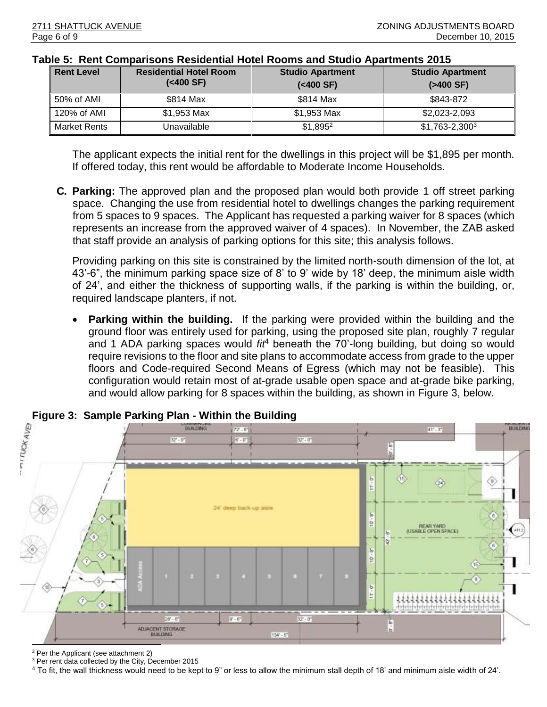| <b>Rent Level</b> | <b>Residential Hotel Room</b><br>( <sub>400</sub> SF) | <b>Studio Apartment</b><br>( <sub>400</sub> SF) | <b>Studio Apartment</b><br>$( > 400 \text{ SF})$ |
|-------------------|-------------------------------------------------------|-------------------------------------------------|--------------------------------------------------|
| 50% of AMI        | \$814 Max                                             | \$814 Max                                       | \$843-872                                        |
| $120\%$ of AMI    | \$1,953 Max                                           | \$1,953 Max                                     | \$2,023-2,093                                    |
| Market Rents      | Unavailable                                           | $$1,895^2$                                      | $$1,763-2,300^3$                                 |

#### **Table 5: Rent Comparisons Residential Hotel Rooms and Studio Apartments 2015**

The applicant expects the initial rent for the dwellings in this project will be \$1,895 per month. If offered today, this rent would be affordable to Moderate Income Households.

**C. Parking:** The approved plan and the proposed plan would both provide 1 off street parking space. Changing the use from residential hotel to dwellings changes the parking requirement from 5 spaces to 9 spaces. The Applicant has requested a parking waiver for 8 spaces (which represents an increase from the approved waiver of 4 spaces). In November, the ZAB asked that staff provide an analysis of parking options for this site; this analysis follows.

Providing parking on this site is constrained by the limited north-south dimension of the lot, at 43'-6", the minimum parking space size of 8' to 9' wide by 18' deep, the minimum aisle width of 24', and either the thickness of supporting walls, if the parking is within the building, or, required landscape planters, if not.

 **Parking within the building.** If the parking were provided within the building and the ground floor was entirely used for parking, using the proposed site plan, roughly 7 regular and 1 ADA parking spaces would *fit*<sup>4</sup> beneath the 70'-long building, but doing so would require revisions to the floor and site plans to accommodate access from grade to the upper floors and Code-required Second Means of Egress (which may not be feasible). This configuration would retain most of at-grade usable open space and at-grade bike parking, and would allow parking for 8 spaces within the building, as shown in Figure 3, below.



<sup>2</sup> Per the Applicant (see attachment 2)

<sup>3</sup> Per rent data collected by the City, December 2015

<sup>4</sup> To fit, the wall thickness would need to be kept to 9" or less to allow the minimum stall depth of 18' and minimum aisle width of 24'.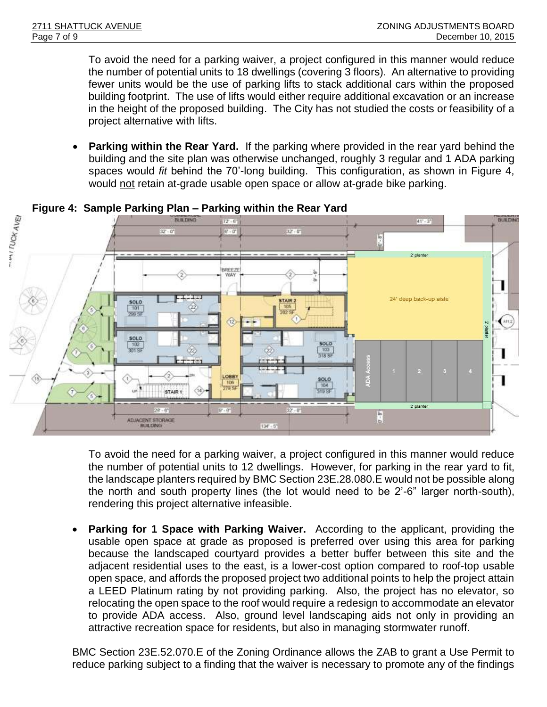To avoid the need for a parking waiver, a project configured in this manner would reduce the number of potential units to 18 dwellings (covering 3 floors). An alternative to providing fewer units would be the use of parking lifts to stack additional cars within the proposed building footprint. The use of lifts would either require additional excavation or an increase in the height of the proposed building. The City has not studied the costs or feasibility of a project alternative with lifts.

 **Parking within the Rear Yard.** If the parking where provided in the rear yard behind the building and the site plan was otherwise unchanged, roughly 3 regular and 1 ADA parking spaces would *fit* behind the 70'-long building. This configuration, as shown in Figure 4, would not retain at-grade usable open space or allow at-grade bike parking.



**Figure 4: Sample Parking Plan – Parking within the Rear Yard**

To avoid the need for a parking waiver, a project configured in this manner would reduce the number of potential units to 12 dwellings. However, for parking in the rear yard to fit, the landscape planters required by BMC Section 23E.28.080.E would not be possible along the north and south property lines (the lot would need to be 2'-6" larger north-south), rendering this project alternative infeasible.

 **Parking for 1 Space with Parking Waiver.** According to the applicant, providing the usable open space at grade as proposed is preferred over using this area for parking because the landscaped courtyard provides a better buffer between this site and the adjacent residential uses to the east, is a lower-cost option compared to roof-top usable open space, and affords the proposed project two additional points to help the project attain a LEED Platinum rating by not providing parking. Also, the project has no elevator, so relocating the open space to the roof would require a redesign to accommodate an elevator to provide ADA access. Also, ground level landscaping aids not only in providing an attractive recreation space for residents, but also in managing stormwater runoff.

BMC Section 23E.52.070.E of the Zoning Ordinance allows the ZAB to grant a Use Permit to reduce parking subject to a finding that the waiver is necessary to promote any of the findings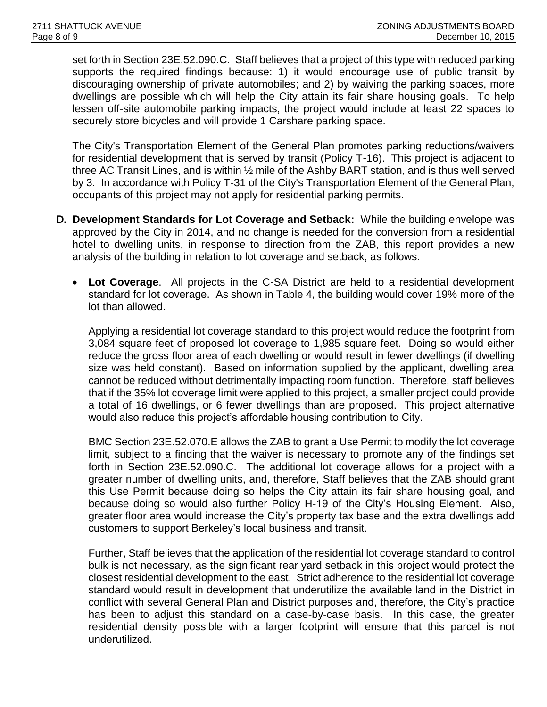set forth in Section 23E.52.090.C. Staff believes that a project of this type with reduced parking supports the required findings because: 1) it would encourage use of public transit by discouraging ownership of private automobiles; and 2) by waiving the parking spaces, more dwellings are possible which will help the City attain its fair share housing goals. To help lessen off-site automobile parking impacts, the project would include at least 22 spaces to securely store bicycles and will provide 1 Carshare parking space.

The City's Transportation Element of the General Plan promotes parking reductions/waivers for residential development that is served by transit (Policy T-16). This project is adjacent to three AC Transit Lines, and is within ½ mile of the Ashby BART station, and is thus well served by 3. In accordance with Policy T-31 of the City's Transportation Element of the General Plan, occupants of this project may not apply for residential parking permits.

- **D. Development Standards for Lot Coverage and Setback:** While the building envelope was approved by the City in 2014, and no change is needed for the conversion from a residential hotel to dwelling units, in response to direction from the ZAB, this report provides a new analysis of the building in relation to lot coverage and setback, as follows.
	- **Lot Coverage**. All projects in the C-SA District are held to a residential development standard for lot coverage. As shown in Table 4, the building would cover 19% more of the lot than allowed.

Applying a residential lot coverage standard to this project would reduce the footprint from 3,084 square feet of proposed lot coverage to 1,985 square feet. Doing so would either reduce the gross floor area of each dwelling or would result in fewer dwellings (if dwelling size was held constant). Based on information supplied by the applicant, dwelling area cannot be reduced without detrimentally impacting room function. Therefore, staff believes that if the 35% lot coverage limit were applied to this project, a smaller project could provide a total of 16 dwellings, or 6 fewer dwellings than are proposed. This project alternative would also reduce this project's affordable housing contribution to City.

BMC Section 23E.52.070.E allows the ZAB to grant a Use Permit to modify the lot coverage limit, subject to a finding that the waiver is necessary to promote any of the findings set forth in Section 23E.52.090.C. The additional lot coverage allows for a project with a greater number of dwelling units, and, therefore, Staff believes that the ZAB should grant this Use Permit because doing so helps the City attain its fair share housing goal, and because doing so would also further Policy H-19 of the City's Housing Element. Also, greater floor area would increase the City's property tax base and the extra dwellings add customers to support Berkeley's local business and transit.

Further, Staff believes that the application of the residential lot coverage standard to control bulk is not necessary, as the significant rear yard setback in this project would protect the closest residential development to the east. Strict adherence to the residential lot coverage standard would result in development that underutilize the available land in the District in conflict with several General Plan and District purposes and, therefore, the City's practice has been to adjust this standard on a case-by-case basis. In this case, the greater residential density possible with a larger footprint will ensure that this parcel is not underutilized.